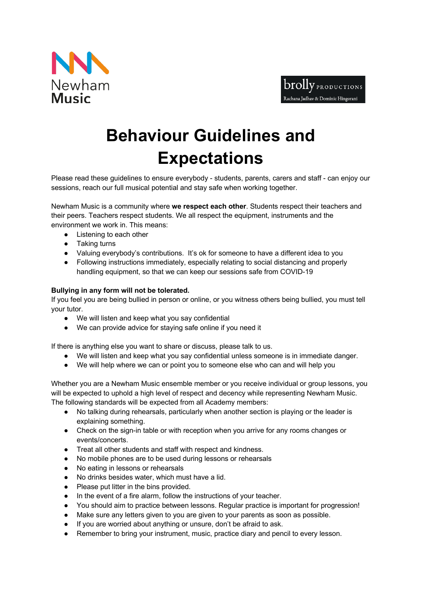



## **Behaviour Guidelines and Expectations**<br>**Please read these quidelines to ensure everybody - students, parents, carers and staff - can enjoy our**

sessions, reach our full musical potential and stay safe when working together.

Newham Music is a community where **we respect each other**. Students respect their teachers and their peers. Teachers respect students. We all respect the equipment, instruments and the environment we work in. This means:

- Listening to each other
- Taking turns
- Valuing everybody's contributions. It's ok for someone to have a different idea to you
- Following instructions immediately, especially relating to social distancing and properly handling equipment, so that we can keep our sessions safe from COVID-19

## **Bullying in any form will not be tolerated.**

If you feel you are being bullied in person or online, or you witness others being bullied, you must tell your tutor.

- We will listen and keep what you say confidential
- We can provide advice for staying safe online if you need it

If there is anything else you want to share or discuss, please talk to us.

- We will listen and keep what you say confidential unless someone is in immediate danger.
- We will help where we can or point you to someone else who can and will help you

Whether you are a Newham Music ensemble member or you receive individual or group lessons, you will be expected to uphold a high level of respect and decency while representing Newham Music. The following standards will be expected from all Academy members:

- No talking during rehearsals, particularly when another section is playing or the leader is explaining something.
- Check on the sign-in table or with reception when you arrive for any rooms changes or events/concerts.
- Treat all other students and staff with respect and kindness.
- No mobile phones are to be used during lessons or rehearsals
- No eating in lessons or rehearsals
- No drinks besides water, which must have a lid.
- Please put litter in the bins provided.
- In the event of a fire alarm, follow the instructions of your teacher.
- You should aim to practice between lessons. Regular practice is important for progression!
- Make sure any letters given to you are given to your parents as soon as possible.
- If you are worried about anything or unsure, don't be afraid to ask.
- Remember to bring your instrument, music, practice diary and pencil to every lesson.